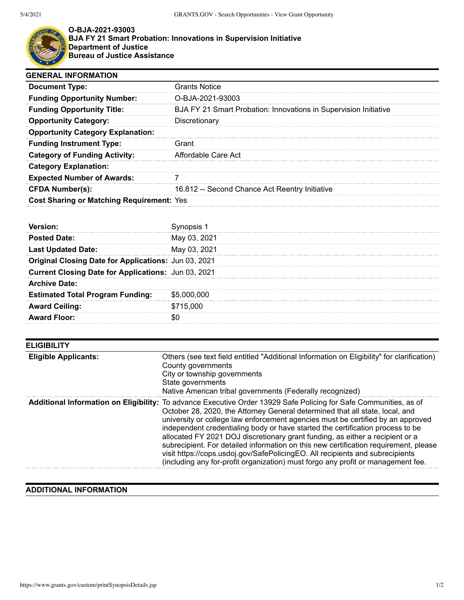

## **O-BJA-2021-93003 BJA FY 21 Smart Probation: Innovations in Supervision Initiative Department of Justice Bureau of Justice Assistance**

| <b>GENERAL INFORMATION</b>                       |                                                                  |  |
|--------------------------------------------------|------------------------------------------------------------------|--|
| <b>Document Type:</b>                            | <b>Grants Notice</b>                                             |  |
| <b>Funding Opportunity Number:</b>               | O-BJA-2021-93003                                                 |  |
| <b>Funding Opportunity Title:</b>                | BJA FY 21 Smart Probation: Innovations in Supervision Initiative |  |
| <b>Opportunity Category:</b>                     | Discretionary                                                    |  |
| <b>Opportunity Category Explanation:</b>         |                                                                  |  |
| <b>Funding Instrument Type:</b>                  | Grant                                                            |  |
| <b>Category of Funding Activity:</b>             | Affordable Care Act                                              |  |
| <b>Category Explanation:</b>                     |                                                                  |  |
| <b>Expected Number of Awards:</b>                |                                                                  |  |
| <b>CFDA Number(s):</b>                           | 16.812 -- Second Chance Act Reentry Initiative                   |  |
| <b>Cost Sharing or Matching Requirement: Yes</b> |                                                                  |  |

| <b>Posted Date:</b>                                  | May 03, 2021 |
|------------------------------------------------------|--------------|
| <b>Last Updated Date:</b>                            | May 03, 2021 |
| Original Closing Date for Applications: Jun 03, 2021 |              |
| Current Closing Date for Applications: Jun 03, 2021  |              |
| <b>Archive Date:</b>                                 |              |
| <b>Estimated Total Program Funding:</b>              | \$5,000,000  |
| <b>Award Ceiling:</b>                                | \$715,000    |
| ard Floor:                                           |              |

| <b>ELIGIBILITY</b>          |                                                                                                                                                                                                                                                                                                                                                                                                                                                                                                                                                                                                                                                                                                                      |
|-----------------------------|----------------------------------------------------------------------------------------------------------------------------------------------------------------------------------------------------------------------------------------------------------------------------------------------------------------------------------------------------------------------------------------------------------------------------------------------------------------------------------------------------------------------------------------------------------------------------------------------------------------------------------------------------------------------------------------------------------------------|
| <b>Eligible Applicants:</b> | Others (see text field entitled "Additional Information on Eligibility" for clarification)<br>County governments<br>City or township governments<br>State governments<br>Native American tribal governments (Federally recognized)                                                                                                                                                                                                                                                                                                                                                                                                                                                                                   |
|                             | Additional Information on Eligibility: To advance Executive Order 13929 Safe Policing for Safe Communities, as of<br>October 28, 2020, the Attorney General determined that all state, local, and<br>university or college law enforcement agencies must be certified by an approved<br>independent credentialing body or have started the certification process to be<br>allocated FY 2021 DOJ discretionary grant funding, as either a recipient or a<br>subrecipient. For detailed information on this new certification requirement, please<br>visit https://cops.usdoj.gov/SafePolicingEO. All recipients and subrecipients<br>(including any for-profit organization) must forgo any profit or management fee. |

## **ADDITIONAL INFORMATION**